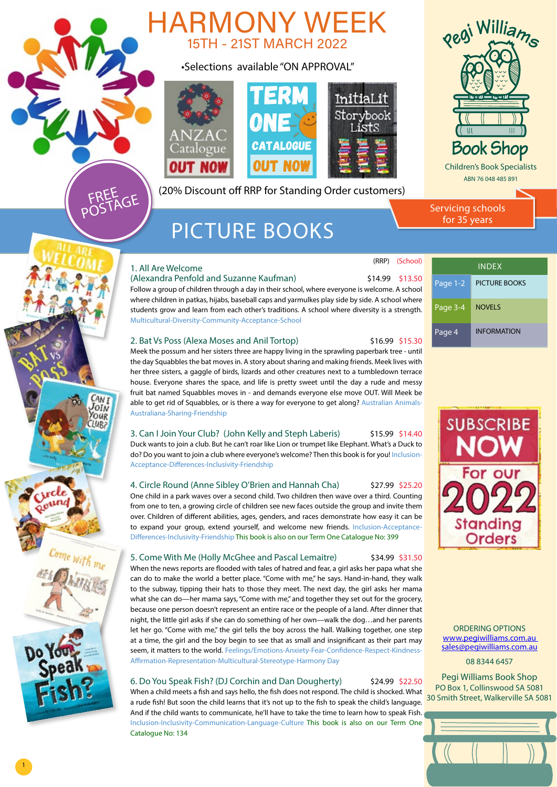

(20% Discount off RRP for Standing Order customers)

# PICTURE BOOKS

# 1. All Are Welcome

FREE<br>POSTAGE

CAN<sub>I</sub> JOIN **OUR** 

### (Alexandra Penfold and Suzanne Kaufman)  $\qquad \qquad$  \$14.99 \$13.50

Follow a group of children through a day in their school, where everyone is welcome. A school where children in patkas, hijabs, baseball caps and yarmulkes play side by side. A school where students grow and learn from each other's traditions. A school where diversity is a strength. Multicultural-Diversity-Community-Acceptance-School

# 2. Bat Vs Poss (Alexa Moses and Anil Tortop) \$16.99 \$15.30

Meek the possum and her sisters three are happy living in the sprawling paperbark tree - until the day Squabbles the bat moves in. A story about sharing and making friends. Meek lives with her three sisters, a gaggle of birds, lizards and other creatures next to a tumbledown terrace house. Everyone shares the space, and life is pretty sweet until the day a rude and messy fruit bat named Squabbles moves in - and demands everyone else move OUT. Will Meek be able to get rid of Squabbles, or is there a way for everyone to get along? Australian Animals-Australiana-Sharing-Friendship

# 3. Can I Join Your Club? (John Kelly and Steph Laberis) \$15.99 \$14.40

Duck wants to join a club. But he can't roar like Lion or trumpet like Elephant. What's a Duck to do? Do you want to join a club where everyone's welcome? Then this book is for you! Inclusion-Acceptance-Differences-Inclusivity-Friendship

# 4. Circle Round (Anne Sibley O'Brien and Hannah Cha) \$27.99 \$25.20

One child in a park waves over a second child. Two children then wave over a third. Counting from one to ten, a growing circle of children see new faces outside the group and invite them over. Children of different abilities, ages, genders, and races demonstrate how easy it can be to expand your group, extend yourself, and welcome new friends. Inclusion-Acceptance-Differences-Inclusivity-Friendship This book is also on our Term One Catalogue No: 399

### 5. Come With Me (Holly McGhee and Pascal Lemaitre) \$34.99 \$31.50

When the news reports are flooded with tales of hatred and fear, a girl asks her papa what she can do to make the world a better place. "Come with me," he says. Hand-in-hand, they walk to the subway, tipping their hats to those they meet. The next day, the girl asks her mama what she can do—her mama says, "Come with me," and together they set out for the grocery, because one person doesn't represent an entire race or the people of a land. After dinner that night, the little girl asks if she can do something of her own—walk the dog…and her parents let her go. "Come with me," the girl tells the boy across the hall. Walking together, one step at a time, the girl and the boy begin to see that as small and insignificant as their part may seem, it matters to the world. Feelings/Emotions-Anxiety-Fear-Confidence-Respect-Kindness-Affirmation-Representation-Multicultural-Stereotype-Harmony Day

### 6. Do You Speak Fish? (DJ Corchin and Dan Dougherty) \$24.99 \$22.50

When a child meets a fish and says hello, the fish does not respond. The child is shocked. What a rude fish! But soon the child learns that it's not up to the fish to speak the child's language. And if the child wants to communicate, he'll have to take the time to learn how to speak Fish. Inclusion-Inclusivity-Communication-Language-Culture This book is also on our Term One Catalogue No: 134

 (RRP) (School) INDEX Page 1-2 PICTURE BOOKS [Page 3-4](#page-2-0) NOVELS Page 4 | [INFORMATION](#page-3-0)

Servicing schools for 35 years



ORDERING OPTIONS [www.pegiwilliams.com.au](http://www.pegiwilliams.com.au )  [sales@pegiwilliams.com.au](mailto:sales@pegiwilliams.com.au) 08 8344 6457

Pegi Williams Book Shop PO Box 1, Collinswood SA 5081

30 Smith Street, Walkerville SA 5081





Come with me

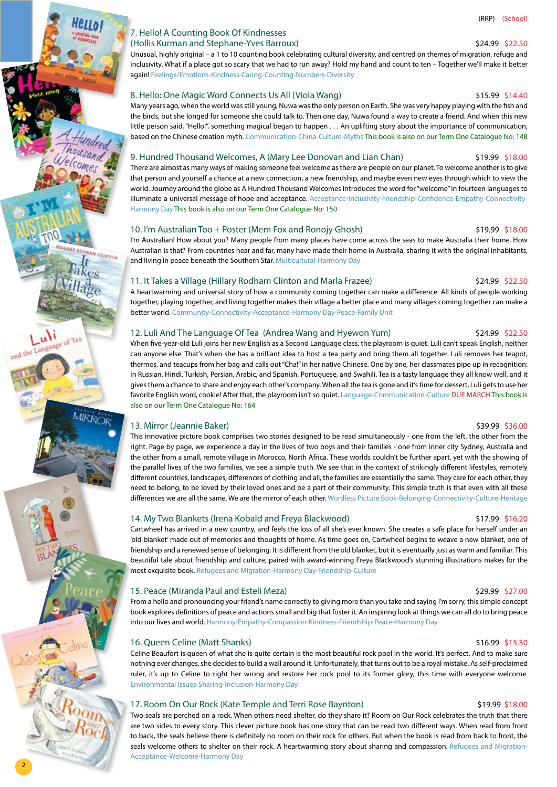# 7. Hello! A Counting Book Of Kindnesses (Hollis Kurman and Stephane-Yves Barroux) \$24.99 \$22.50

Unusual, highly original – a 1 to 10 counting book celebrating cultural diversity, and centred on themes of migration, refuge and inclusivity. What if a place got so scary that we had to run away? Hold my hand and count to ten – Together we'll make it better again! Feelings/Emotions-Kindness-Caring-Counting-Numbers-Diversity

# 8. Hello: One Magic Word Connects Us All (Viola Wang) 6 (1998) 515.99 \$14.40

Many years ago, when the world was still young, Nuwa was the only person on Earth. She was very happy playing with the fish and the birds, but she longed for someone she could talk to. Then one day, Nuwa found a way to create a friend. And when this new little person said, "Hello!", something magical began to happen . . . An uplifting story about the importance of communication, based on the Chinese creation myth. Communication-China-Culture-Myths This book is also on our Term One Catalogue No: 148

### 9. Hundred Thousand Welcomes, A (Mary Lee Donovan and Lian Chan) \$19.99 \$18.00

There are almost as many ways of making someone feel welcome as there are people on our planet. To welcome another is to give that person and yourself a chance at a new connection, a new friendship, and maybe even new eyes through which to view the world. Journey around the globe as A Hundred Thousand Welcomes introduces the word for "welcome" in fourteen languages to illuminate a universal message of hope and acceptance. Acceptance-Inclusivity-Friendship-Confidence-Empathy-Connectivity-Harmony Day This book is also on our Term One Catalogue No: 150

## 10. I'm Australian Too + Poster (Mem Fox and Ronojy Ghosh) \$19.99 \$18.00

I'm Australian! How about you? Many people from many places have come across the seas to make Australia their home. How Australian is that? From countries near and far, many have made their home in Australia, sharing it with the original inhabitants, and living in peace beneath the Southern Star. Multicultural-Harmony Day

# 11. It Takes a Village (Hillary Rodham Clinton and Marla Frazee) \$24.99 \$22.50

A heartwarming and universal story of how a community coming together can make a difference. All kinds of people working together, playing together, and living together makes their village a better place and many villages coming together can make a better world. Community-Connectivity-Acceptance-Harmony Day-Peace-Family Unit

# 12. Luli And The Language Of Tea (Andrea Wang and Hyewon Yum) \$24.99 \$22.50

When five-year-old Luli joins her new English as a Second Language class, the playroom is quiet. Luli can't speak English, neither can anyone else. That's when she has a brilliant idea to host a tea party and bring them all together. Luli removes her teapot, thermos, and teacups from her bag and calls out "Cha!" in her native Chinese. One by one, her classmates pipe up in recognition: in Russian, Hindi, Turkish, Persian, Arabic, and Spanish, Portuguese, and Swahili. Tea is a tasty language they all know well, and it gives them a chance to share and enjoy each other's company. When all the tea is gone and it's time for dessert, Luli gets to use her favorite English word, cookie! After that, the playroom isn't so quiet. Language-Communication-Culture DUE MARCHThis book is also on our Term One Catalogue No: 164

# 13. Mirror (Jeannie Baker) \$39.99 \$36.00

AM CLINTON

This innovative picture book comprises two stories designed to be read simultaneously - one from the left, the other from the right. Page by page, we experience a day in the lives of two boys and their families - one from inner city Sydney, Australia and the other from a small, remote village in Morocco, North Africa. These worlds couldn't be further apart, yet with the showing of the parallel lives of the two families, we see a simple truth. We see that in the context of strikingly different lifestyles, remotely different countries, landscapes, differences of clothing and all, the families are essentially the same. They care for each other, they need to belong, to be loved by their loved ones and be a part of their community. This simple truth is that even with all these differences we are all the same. We are the mirror of each other. Wordless Picture Book-Belonging-Connectivity-Culture-Heritage

# 14. My Two Blankets (Irena Kobald and Freya Blackwood) \$17.99 \$16.20

Cartwheel has arrived in a new country, and feels the loss of all she's ever known. She creates a safe place for herself under an 'old blanket' made out of memories and thoughts of home. As time goes on, Cartwheel begins to weave a new blanket, one of friendship and a renewed sense of belonging. It is different from the old blanket, but it is eventually just as warm and familiar. This beautiful tale about friendship and culture, paired with award-winning Freya Blackwood's stunning illustrations makes for the most exquisite book. Refugees and Migration-Harmony Day-Friendship-Culture

### 15. Peace (Miranda Paul and Esteli Meza) **\$29.99** \$27.00

From a hello and pronouncing your friend's name correctly to giving more than you take and saying I'm sorry, this simple concept book explores definitions of peace and actions small and big that foster it. An inspiring look at things we can all do to bring peace into our lives and world. Harmony-Empathy-Compassion-Kindness-Friendship-Peace-Harmony Day

# 16. Queen Celine (Matt Shanks) **\$16.99 \$15.30** \$16.99 \$15.30

2

Celine Beaufort is queen of what she is quite certain is the most beautiful rock pool in the world. It's perfect. And to make sure nothing ever changes, she decides to build a wall around it. Unfortunately, that turns out to be a royal mistake. As self-proclaimed ruler, it's up to Celine to right her wrong and restore her rock pool to its former glory, this time with everyone welcome. Environmental Issues-Sharing-Inclusion-Harmony Day

# 17. Room On Our Rock (Kate Temple and Terri Rose Baynton) \$19.99 \$18.00

Two seals are perched on a rock. When others need shelter, do they share it? Room on Our Rock celebrates the truth that there are two sides to every story. This clever picture book has one story that can be read two different ways. When read from front to back, the seals believe there is definitely no room on their rock for others. But when the book is read from back to front, the seals welcome others to shelter on their rock. A heartwarming story about sharing and compassion. Refugees and Migration-Acceptance-Welcome-Harmony Day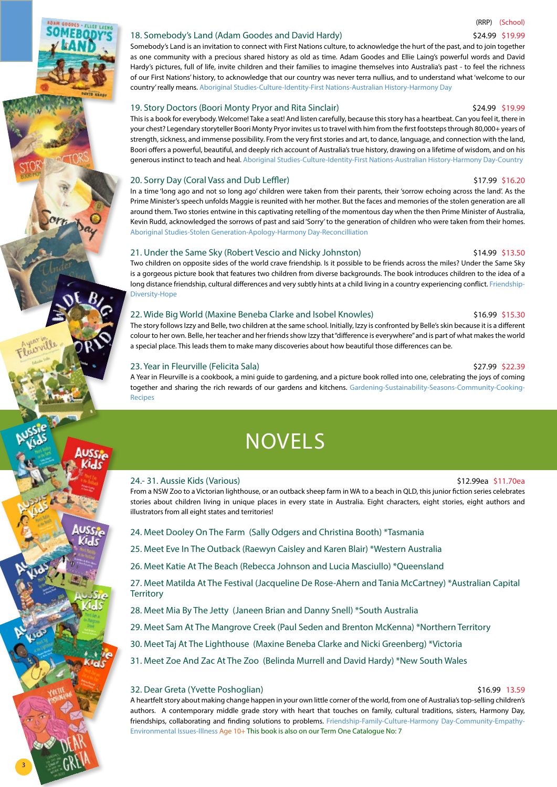(RRP) (School)

<span id="page-2-0"></span>18. Somebody's Land (Adam Goodes and David Hardy) **\$24.99 \$24.99 \$19.99** Somebody's Land is an invitation to connect with First Nations culture, to acknowledge the hurt of the past, and to join together as one community with a precious shared history as old as time. Adam Goodes and Ellie Laing's powerful words and David Hardy's pictures, full of life, invite children and their families to imagine themselves into Australia's past - to feel the richness of our First Nations' history, to acknowledge that our country was never terra nullius, and to understand what 'welcome to our country' really means. Aboriginal Studies-Culture-Identity-First Nations-Australian History-Harmony Day

# 19. Story Doctors (Boori Monty Pryor and Rita Sinclair) \$24.99 \$19.99

This is a book for everybody. Welcome! Take a seat! And listen carefully, because this story has a heartbeat. Can you feel it, there in your chest? Legendary storyteller Boori Monty Pryor invites us to travel with him from the first footsteps through 80,000+ years of strength, sickness, and immense possibility. From the very first stories and art, to dance, language, and connection with the land, Boori offers a powerful, beautiful, and deeply rich account of Australia's true history, drawing on a lifetime of wisdom, and on his generous instinct to teach and heal. Aboriginal Studies-Culture-Identity-First Nations-Australian History-Harmony Day-Country

# 20. Sorry Day (Coral Vass and Dub Leffler) **12.1200 \$17.99 \$16.20** \$17.99 \$16.20

In a time 'long ago and not so long ago' children were taken from their parents, their 'sorrow echoing across the land'. As the Prime Minister's speech unfolds Maggie is reunited with her mother. But the faces and memories of the stolen generation are all around them. Two stories entwine in this captivating retelling of the momentous day when the then Prime Minister of Australia, Kevin Rudd, acknowledged the sorrows of past and said 'Sorry' to the generation of children who were taken from their homes. Aboriginal Studies-Stolen Generation-Apology-Harmony Day-Reconcilliation

# 21. Under the Same Sky (Robert Vescio and Nicky Johnston) \$14.99 \$13.50

Two children on opposite sides of the world crave friendship. Is it possible to be friends across the miles? Under the Same Sky is a gorgeous picture book that features two children from diverse backgrounds. The book introduces children to the idea of a long distance friendship, cultural differences and very subtly hints at a child living in a country experiencing conflict. Friendship-Diversity-Hope

# 22. Wide Big World (Maxine Beneba Clarke and Isobel Knowles) **\$16.99 \$15.30** \$16.99 \$15.30

The story follows Izzy and Belle, two children at the same school. Initially, Izzy is confronted by Belle's skin because it is a different colour to her own. Belle, her teacher and her friends show Izzy that "difference is everywhere" and is part of what makes the world a special place. This leads them to make many discoveries about how beautiful those differences can be.

# 23. Year in Fleurville (Felicita Sala) \$27.99 \$22.39

A Year in Fleurville is a cookbook, a mini guide to gardening, and a picture book rolled into one, celebrating the joys of coming together and sharing the rich rewards of our gardens and kitchens. Gardening-Sustainability-Seasons-Community-Cooking-Recipes

# **NOVELS**

# 24.- 31. Aussie Kids (Various) \$12.99ea \$11.70ea

From a NSW Zoo to a Victorian lighthouse, or an outback sheep farm in WA to a beach in QLD, this junior fiction series celebrates stories about children living in unique places in every state in Australia. Eight characters, eight stories, eight authors and illustrators from all eight states and territories!

- 24. Meet Dooley On The Farm (Sally Odgers and Christina Booth) \*Tasmania
- 25. Meet Eve In The Outback (Raewyn Caisley and Karen Blair) \*Western Australia
- 26. Meet Katie At The Beach (Rebecca Johnson and Lucia Masciullo) \*Queensland

27. Meet Matilda At The Festival (Jacqueline De Rose-Ahern and Tania McCartney) \*Australian Capital **Territory** 

28. Meet Mia By The Jetty (Janeen Brian and Danny Snell) \*South Australia

29. Meet Sam At The Mangrove Creek (Paul Seden and Brenton McKenna) \*Northern Territory

- 30. Meet Taj At The Lighthouse (Maxine Beneba Clarke and Nicki Greenberg) \*Victoria
- 31. Meet Zoe And Zac At The Zoo (Belinda Murrell and David Hardy) \*New South Wales

# 32. Dear Greta (Yvette Poshoglian) \$16.99 13.59

3

A heartfelt story about making change happen in your own little corner of the world, from one of Australia's top-selling children's authors. A contemporary middle grade story with heart that touches on family, cultural traditions, sisters, Harmony Day, friendships, collaborating and finding solutions to problems. Friendship-Family-Culture-Harmony Day-Community-Empathy-Environmental Issues-Illness Age 10+ This book is also on our Term One Catalogue No: 7